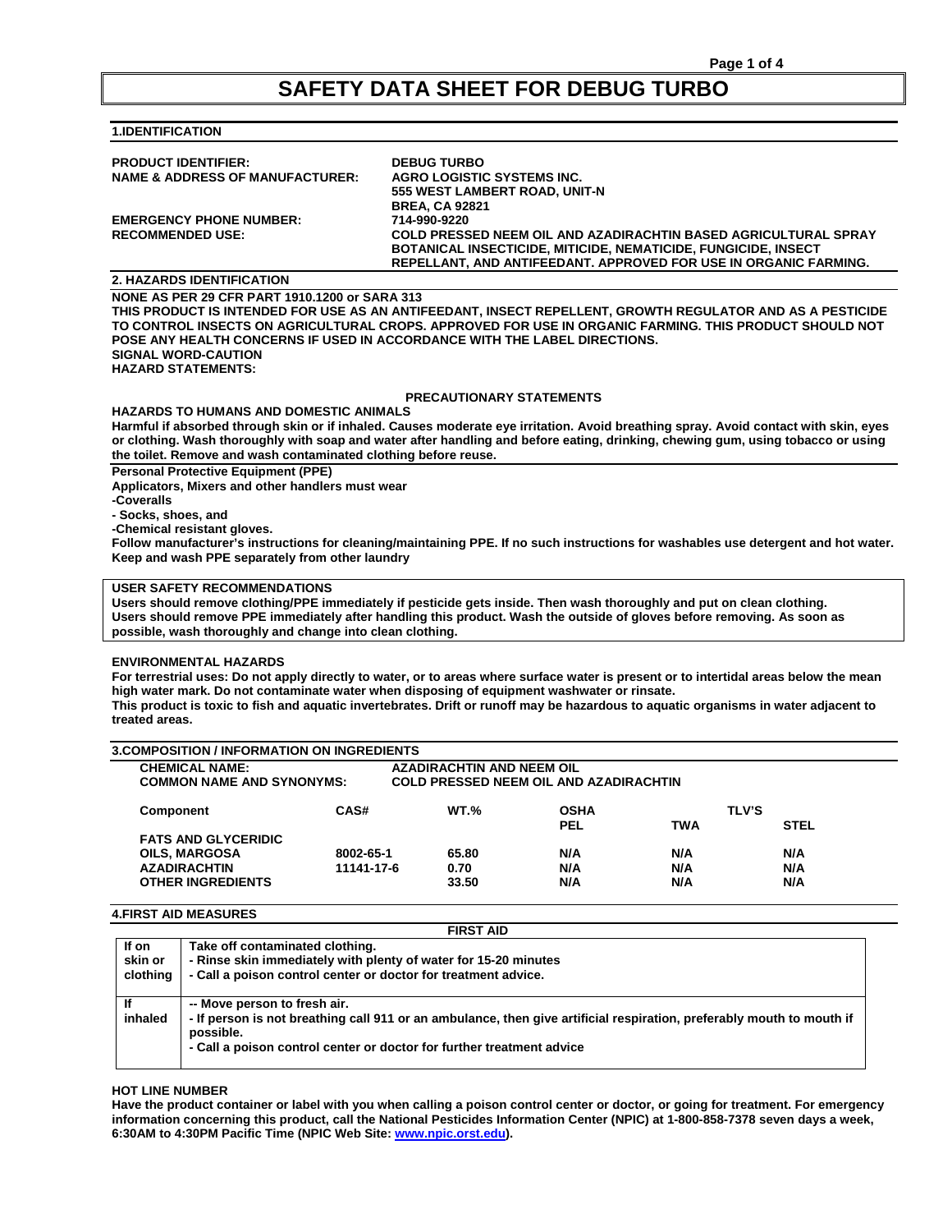# **SAFETY DATA SHEET FOR DEBUG TURBO**

**1.IDENTIFICATION**

| <b>PRODUCT IDENTIFIER:</b><br><b>NAME &amp; ADDRESS OF MANUFACTURER:</b> | <b>DEBUG TURBO</b><br>AGRO LOGISTIC SYSTEMS INC.<br>555 WEST LAMBERT ROAD, UNIT-N                                                                                                                                   |
|--------------------------------------------------------------------------|---------------------------------------------------------------------------------------------------------------------------------------------------------------------------------------------------------------------|
| <b>EMERGENCY PHONE NUMBER:</b>                                           | <b>BREA, CA 92821</b><br>714-990-9220                                                                                                                                                                               |
| <b>RECOMMENDED USE:</b>                                                  | <b>COLD PRESSED NEEM OIL AND AZADIRACHTIN BASED AGRICULTURAL SPRAY</b><br><b>BOTANICAL INSECTICIDE, MITICIDE, NEMATICIDE, FUNGICIDE, INSECT</b><br>REPELLANT, AND ANTIFEEDANT. APPROVED FOR USE IN ORGANIC FARMING. |

# **2. HAZARDS IDENTIFICATION**

**NONE AS PER 29 CFR PART 1910.1200 or SARA 313 THIS PRODUCT IS INTENDED FOR USE AS AN ANTIFEEDANT, INSECT REPELLENT, GROWTH REGULATOR AND AS A PESTICIDE TO CONTROL INSECTS ON AGRICULTURAL CROPS. APPROVED FOR USE IN ORGANIC FARMING. THIS PRODUCT SHOULD NOT POSE ANY HEALTH CONCERNS IF USED IN ACCORDANCE WITH THE LABEL DIRECTIONS. SIGNAL WORD-CAUTION HAZARD STATEMENTS:** 

### **PRECAUTIONARY STATEMENTS**

**HAZARDS TO HUMANS AND DOMESTIC ANIMALS**

**Harmful if absorbed through skin or if inhaled. Causes moderate eye irritation. Avoid breathing spray. Avoid contact with skin, eyes or clothing. Wash thoroughly with soap and water after handling and before eating, drinking, chewing gum, using tobacco or using the toilet. Remove and wash contaminated clothing before reuse.**

**Personal Protective Equipment (PPE)**

**Applicators, Mixers and other handlers must wear**

**-Coveralls**

**- Socks, shoes, and** 

**-Chemical resistant gloves.**

**Follow manufacturer's instructions for cleaning/maintaining PPE. If no such instructions for washables use detergent and hot water. Keep and wash PPE separately from other laundry**

# **USER SAFETY RECOMMENDATIONS**

**Users should remove clothing/PPE immediately if pesticide gets inside. Then wash thoroughly and put on clean clothing. Users should remove PPE immediately after handling this product. Wash the outside of gloves before removing. As soon as possible, wash thoroughly and change into clean clothing.**

# **ENVIRONMENTAL HAZARDS**

**For terrestrial uses: Do not apply directly to water, or to areas where surface water is present or to intertidal areas below the mean high water mark. Do not contaminate water when disposing of equipment washwater or rinsate. This product is toxic to fish and aquatic invertebrates. Drift or runoff may be hazardous to aquatic organisms in water adjacent to treated areas.**

| <b>3. COMPOSITION / INFORMATION ON INGREDIENTS</b>        |            |                                                                                   |                           |            |                             |  |
|-----------------------------------------------------------|------------|-----------------------------------------------------------------------------------|---------------------------|------------|-----------------------------|--|
| <b>CHEMICAL NAME:</b><br><b>COMMON NAME AND SYNONYMS:</b> |            | <b>AZADIRACHTIN AND NEEM OIL</b><br><b>COLD PRESSED NEEM OIL AND AZADIRACHTIN</b> |                           |            |                             |  |
| Component                                                 | CAS#       | <b>WT.%</b>                                                                       | <b>OSHA</b><br><b>PEL</b> | <b>TWA</b> | <b>TLV'S</b><br><b>STEL</b> |  |
| <b>FATS AND GLYCERIDIC</b>                                |            |                                                                                   |                           |            |                             |  |
| <b>OILS. MARGOSA</b>                                      | 8002-65-1  | 65.80                                                                             | N/A                       | N/A        | N/A                         |  |
| <b>AZADIRACHTIN</b>                                       | 11141-17-6 | 0.70                                                                              | N/A                       | N/A        | N/A                         |  |
| <b>OTHER INGREDIENTS</b>                                  |            | 33.50                                                                             | N/A                       | N/A        | N/A                         |  |

**4.FIRST AID MEASURES**

|                              | <b>FIRST AID</b>                                                                                                                                                                                                                            |
|------------------------------|---------------------------------------------------------------------------------------------------------------------------------------------------------------------------------------------------------------------------------------------|
| If on<br>skin or<br>clothing | Take off contaminated clothing.<br>- Rinse skin immediately with plenty of water for 15-20 minutes<br>- Call a poison control center or doctor for treatment advice.                                                                        |
| lf<br>inhaled                | -- Move person to fresh air.<br>- If person is not breathing call 911 or an ambulance, then give artificial respiration, preferably mouth to mouth if<br>possible.<br>- Call a poison control center or doctor for further treatment advice |

#### **HOT LINE NUMBER**

**Have the product container or label with you when calling a poison control center or doctor, or going for treatment. For emergency information concerning this product, call the National Pesticides Information Center (NPIC) at 1-800-858-7378 seven days a week, 6:30AM to 4:30PM Pacific Time (NPIC Web Site: [www.npic.orst.edu\)](http://www.npic.orst.edu/).**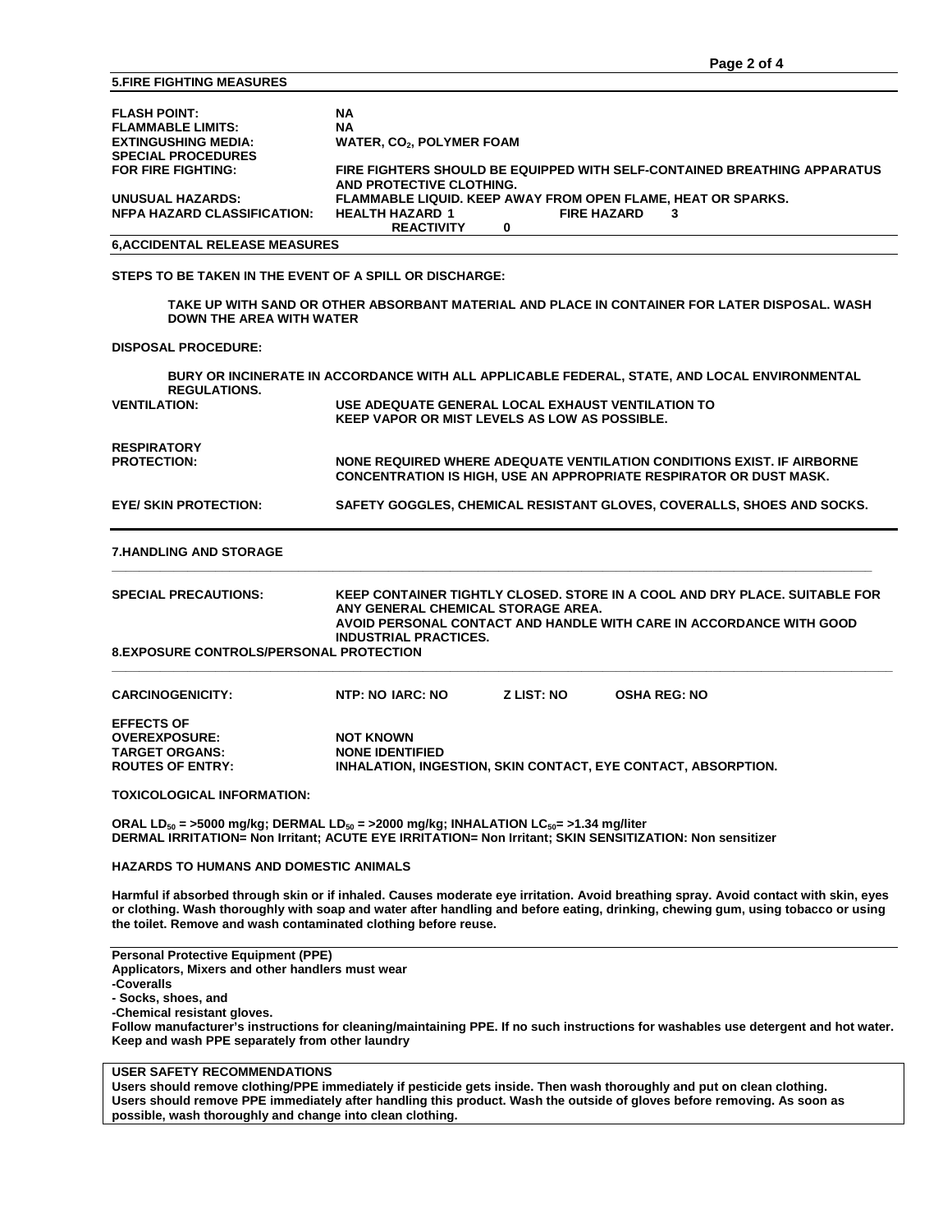### **5.FIRE FIGHTING MEASURES**

| <b>FLASH POINT:</b>                   | ΝA                                                                       |
|---------------------------------------|--------------------------------------------------------------------------|
| <b>FLAMMABLE LIMITS:</b>              | ΝA                                                                       |
| <b>EXTINGUSHING MEDIA:</b>            | <b>WATER, CO<sub>2</sub>, POLYMER FOAM</b>                               |
| <b>SPECIAL PROCEDURES</b>             |                                                                          |
| FOR FIRE FIGHTING:                    | FIRE FIGHTERS SHOULD BE EQUIPPED WITH SELF-CONTAINED BREATHING APPARATUS |
|                                       | AND PROTECTIVE CLOTHING.                                                 |
| <b>UNUSUAL HAZARDS:</b>               | FLAMMABLE LIQUID. KEEP AWAY FROM OPEN FLAME, HEAT OR SPARKS.             |
| <b>NFPA HAZARD CLASSIFICATION:</b>    | <b>FIRE HAZARD</b><br><b>HEALTH HAZARD 1</b>                             |
|                                       | <b>REACTIVITY</b><br>0                                                   |
| <b>6, ACCIDENTAL RELEASE MEASURES</b> |                                                                          |

**STEPS TO BE TAKEN IN THE EVENT OF A SPILL OR DISCHARGE:**

**TAKE UP WITH SAND OR OTHER ABSORBANT MATERIAL AND PLACE IN CONTAINER FOR LATER DISPOSAL. WASH DOWN THE AREA WITH WATER**

#### **DISPOSAL PROCEDURE:**

| <b>REGULATIONS.</b>                                                                                                                                                                                               |                                                                                                           |                   | BURY OR INCINERATE IN ACCORDANCE WITH ALL APPLICABLE FEDERAL, STATE, AND LOCAL ENVIRONMENTAL                                                        |  |
|-------------------------------------------------------------------------------------------------------------------------------------------------------------------------------------------------------------------|-----------------------------------------------------------------------------------------------------------|-------------------|-----------------------------------------------------------------------------------------------------------------------------------------------------|--|
| <b>VENTILATION:</b>                                                                                                                                                                                               | USE ADEQUATE GENERAL LOCAL EXHAUST VENTILATION TO<br><b>KEEP VAPOR OR MIST LEVELS AS LOW AS POSSIBLE.</b> |                   |                                                                                                                                                     |  |
| <b>RESPIRATORY</b>                                                                                                                                                                                                |                                                                                                           |                   |                                                                                                                                                     |  |
| <b>PROTECTION:</b>                                                                                                                                                                                                |                                                                                                           |                   | NONE REQUIRED WHERE ADEQUATE VENTILATION CONDITIONS EXIST. IF AIRBORNE<br><b>CONCENTRATION IS HIGH, USE AN APPROPRIATE RESPIRATOR OR DUST MASK.</b> |  |
| <b>EYE/ SKIN PROTECTION:</b>                                                                                                                                                                                      |                                                                                                           |                   | SAFETY GOGGLES, CHEMICAL RESISTANT GLOVES, COVERALLS, SHOES AND SOCKS.                                                                              |  |
| <b>7.HANDLING AND STORAGE</b>                                                                                                                                                                                     |                                                                                                           |                   |                                                                                                                                                     |  |
| <b>SPECIAL PRECAUTIONS:</b>                                                                                                                                                                                       | ANY GENERAL CHEMICAL STORAGE AREA.<br><b>INDUSTRIAL PRACTICES.</b>                                        |                   | KEEP CONTAINER TIGHTLY CLOSED. STORE IN A COOL AND DRY PLACE. SUITABLE FOR<br>AVOID PERSONAL CONTACT AND HANDLE WITH CARE IN ACCORDANCE WITH GOOD   |  |
| <b>8.EXPOSURE CONTROLS/PERSONAL PROTECTION</b>                                                                                                                                                                    |                                                                                                           |                   |                                                                                                                                                     |  |
| <b>CARCINOGENICITY:</b>                                                                                                                                                                                           | NTP: NO IARC: NO                                                                                          | <b>Z LIST: NO</b> | <b>OSHA REG: NO</b>                                                                                                                                 |  |
| <b>EFFECTS OF</b>                                                                                                                                                                                                 |                                                                                                           |                   |                                                                                                                                                     |  |
| <b>OVEREXPOSURE:</b>                                                                                                                                                                                              | <b>NOT KNOWN</b>                                                                                          |                   |                                                                                                                                                     |  |
| <b>TARGET ORGANS:</b>                                                                                                                                                                                             | <b>NONE IDENTIFIED</b>                                                                                    |                   |                                                                                                                                                     |  |
| <b>ROUTES OF ENTRY:</b>                                                                                                                                                                                           |                                                                                                           |                   | <b>INHALATION, INGESTION, SKIN CONTACT, EYE CONTACT, ABSORPTION.</b>                                                                                |  |
| TOXICOLOGICAL INFORMATION:                                                                                                                                                                                        |                                                                                                           |                   |                                                                                                                                                     |  |
| ORAL LD $_{50}$ = >5000 mg/kg; DERMAL LD $_{50}$ = >2000 mg/kg; INHALATION LC $_{50}$ = >1.34 mg/liter<br>DERMAL IRRITATION= Non Irritant; ACUTE EYE IRRITATION= Non Irritant; SKIN SENSITIZATION: Non sensitizer |                                                                                                           |                   |                                                                                                                                                     |  |
| HAZARDS TO HUMANS AND DOMESTIC ANIMALS                                                                                                                                                                            |                                                                                                           |                   |                                                                                                                                                     |  |

**Harmful if absorbed through skin or if inhaled. Causes moderate eye irritation. Avoid breathing spray. Avoid contact with skin, eyes or clothing. Wash thoroughly with soap and water after handling and before eating, drinking, chewing gum, using tobacco or using the toilet. Remove and wash contaminated clothing before reuse.**

#### **Personal Protective Equipment (PPE)**

**Applicators, Mixers and other handlers must wear**

**-Coveralls**

**- Socks, shoes, and** 

**-Chemical resistant gloves.**

**Follow manufacturer's instructions for cleaning/maintaining PPE. If no such instructions for washables use detergent and hot water. Keep and wash PPE separately from other laundry**

# **USER SAFETY RECOMMENDATIONS**

**Users should remove clothing/PPE immediately if pesticide gets inside. Then wash thoroughly and put on clean clothing. Users should remove PPE immediately after handling this product. Wash the outside of gloves before removing. As soon as possible, wash thoroughly and change into clean clothing.**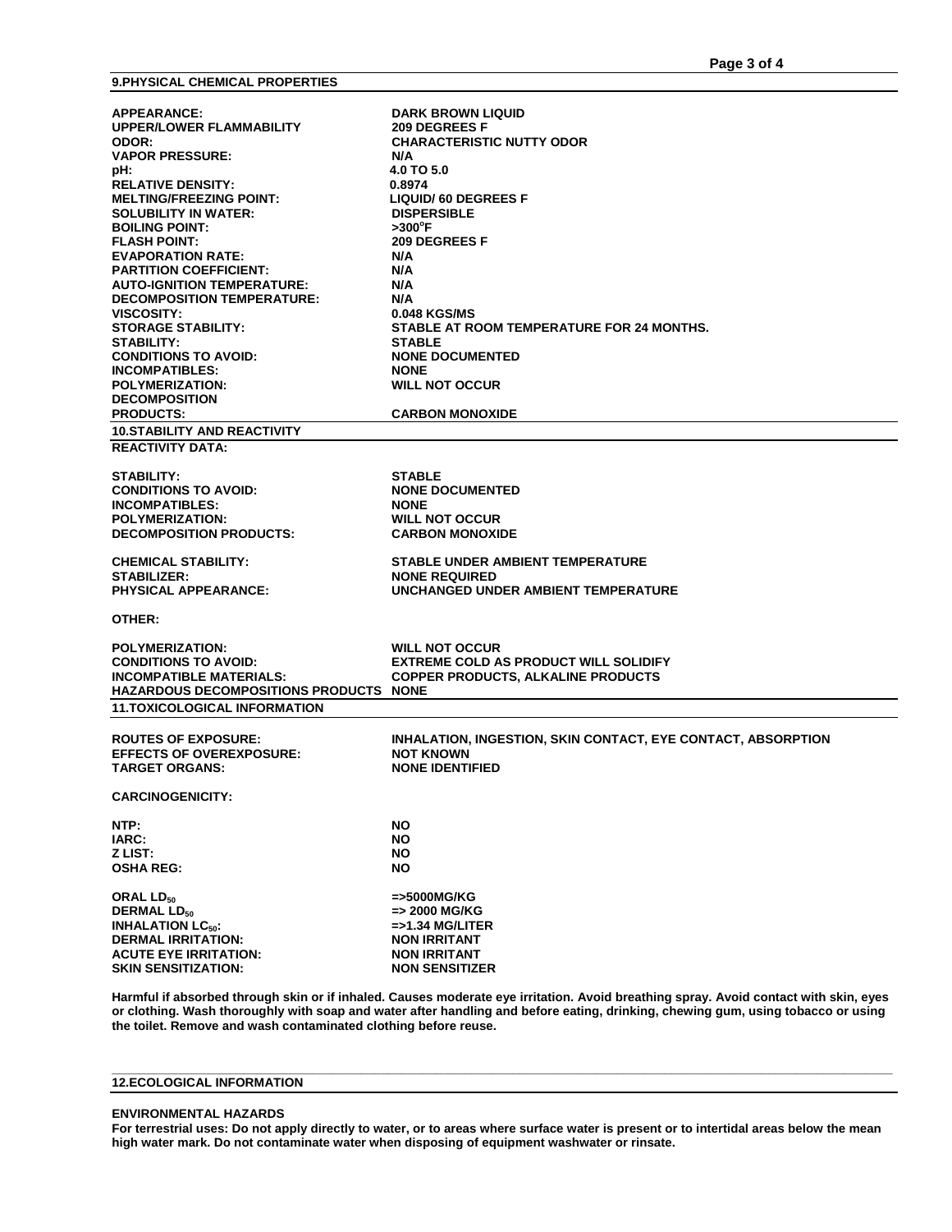| <b>APPEARANCE:</b>                            | <b>DARK BROWN LIQUID</b>                                            |
|-----------------------------------------------|---------------------------------------------------------------------|
| <b>UPPER/LOWER FLAMMABILITY</b>               | 209 DEGREES F                                                       |
|                                               |                                                                     |
| ODOR:                                         | <b>CHARACTERISTIC NUTTY ODOR</b>                                    |
| <b>VAPOR PRESSURE:</b>                        | N/A                                                                 |
| pH:                                           | 4.0 TO 5.0                                                          |
| <b>RELATIVE DENSITY:</b>                      | 0.8974                                                              |
| <b>MELTING/FREEZING POINT:</b>                | <b>LIQUID/60 DEGREES F</b>                                          |
| <b>SOLUBILITY IN WATER:</b>                   | <b>DISPERSIBLE</b>                                                  |
|                                               |                                                                     |
| <b>BOILING POINT:</b>                         | $>300^{\circ}$ F                                                    |
| <b>FLASH POINT:</b>                           | 209 DEGREES F                                                       |
| <b>EVAPORATION RATE:</b>                      | N/A                                                                 |
| <b>PARTITION COEFFICIENT:</b>                 | N/A                                                                 |
| <b>AUTO-IGNITION TEMPERATURE:</b>             | N/A                                                                 |
| <b>DECOMPOSITION TEMPERATURE:</b>             | N/A                                                                 |
|                                               |                                                                     |
| <b>VISCOSITY:</b>                             | 0.048 KGS/MS                                                        |
| <b>STORAGE STABILITY:</b>                     | STABLE AT ROOM TEMPERATURE FOR 24 MONTHS.                           |
| <b>STABILITY:</b>                             | <b>STABLE</b>                                                       |
| <b>CONDITIONS TO AVOID:</b>                   | <b>NONE DOCUMENTED</b>                                              |
| <b>INCOMPATIBLES:</b>                         | <b>NONE</b>                                                         |
| <b>POLYMERIZATION:</b>                        | <b>WILL NOT OCCUR</b>                                               |
|                                               |                                                                     |
| <b>DECOMPOSITION</b>                          |                                                                     |
| <b>PRODUCTS:</b>                              | <b>CARBON MONOXIDE</b>                                              |
| <b>10.STABILITY AND REACTIVITY</b>            |                                                                     |
| <b>REACTIVITY DATA:</b>                       |                                                                     |
|                                               |                                                                     |
|                                               |                                                                     |
| <b>STABILITY:</b>                             | <b>STABLE</b>                                                       |
| <b>CONDITIONS TO AVOID:</b>                   | <b>NONE DOCUMENTED</b>                                              |
| <b>INCOMPATIBLES:</b>                         | <b>NONE</b>                                                         |
| <b>POLYMERIZATION:</b>                        | <b>WILL NOT OCCUR</b>                                               |
| <b>DECOMPOSITION PRODUCTS:</b>                | <b>CARBON MONOXIDE</b>                                              |
|                                               |                                                                     |
|                                               |                                                                     |
| <b>CHEMICAL STABILITY:</b>                    | <b>STABLE UNDER AMBIENT TEMPERATURE</b>                             |
| <b>STABILIZER:</b>                            | <b>NONE REQUIRED</b>                                                |
| <b>PHYSICAL APPEARANCE:</b>                   | UNCHANGED UNDER AMBIENT TEMPERATURE                                 |
|                                               |                                                                     |
| OTHER:                                        |                                                                     |
|                                               |                                                                     |
| <b>POLYMERIZATION:</b>                        | <b>WILL NOT OCCUR</b>                                               |
|                                               |                                                                     |
| <b>CONDITIONS TO AVOID:</b>                   | <b>EXTREME COLD AS PRODUCT WILL SOLIDIFY</b>                        |
| <b>INCOMPATIBLE MATERIALS:</b>                | <b>COPPER PRODUCTS, ALKALINE PRODUCTS</b>                           |
| <b>HAZARDOUS DECOMPOSITIONS PRODUCTS NONE</b> |                                                                     |
| <b>11.TOXICOLOGICAL INFORMATION</b>           |                                                                     |
|                                               |                                                                     |
|                                               |                                                                     |
| <b>ROUTES OF EXPOSURE:</b>                    | <b>INHALATION, INGESTION, SKIN CONTACT, EYE CONTACT, ABSORPTION</b> |
| <b>EFFECTS OF OVEREXPOSURE:</b>               | <b>NOT KNOWN</b>                                                    |
| <b>TARGET ORGANS:</b>                         | <b>NONE IDENTIFIED</b>                                              |
|                                               |                                                                     |
| <b>CARCINOGENICITY:</b>                       |                                                                     |
|                                               |                                                                     |
|                                               |                                                                     |
| NTP:                                          | <b>NO</b>                                                           |
| IARC:                                         | <b>NO</b>                                                           |
| Z LIST:                                       | <b>NO</b>                                                           |
| <b>OSHA REG:</b>                              | NO.                                                                 |
|                                               |                                                                     |
| ORAL LD <sub>50</sub>                         | $=$ >5000MG/KG                                                      |
| <b>DERMAL LD<sub>50</sub></b>                 | $\Rightarrow$ 2000 MG/KG                                            |
|                                               |                                                                     |
| <b>INHALATION LC<sub>50</sub>:</b>            | $=$ >1.34 MG/LITER                                                  |
| <b>DERMAL IRRITATION:</b>                     | <b>NON IRRITANT</b>                                                 |
| <b>ACUTE EYE IRRITATION:</b>                  |                                                                     |
|                                               | <b>NON IRRITANT</b>                                                 |
| <b>SKIN SENSITIZATION:</b>                    | <b>NON SENSITIZER</b>                                               |

**Harmful if absorbed through skin or if inhaled. Causes moderate eye irritation. Avoid breathing spray. Avoid contact with skin, eyes or clothing. Wash thoroughly with soap and water after handling and before eating, drinking, chewing gum, using tobacco or using the toilet. Remove and wash contaminated clothing before reuse.**

**\_\_\_\_\_\_\_\_\_\_\_\_\_\_\_\_\_\_\_\_\_\_\_\_\_\_\_\_\_\_\_\_\_\_\_\_\_\_\_\_\_\_\_\_\_\_\_\_\_\_\_\_\_\_\_\_\_\_\_\_\_\_\_\_\_\_\_\_\_\_\_\_\_\_\_\_\_\_\_\_\_\_\_\_\_\_\_\_\_\_\_\_\_\_\_\_\_\_\_\_\_\_\_\_\_\_\_\_\_\_\_\_\_**

## **12.ECOLOGICAL INFORMATION**

### **ENVIRONMENTAL HAZARDS**

**For terrestrial uses: Do not apply directly to water, or to areas where surface water is present or to intertidal areas below the mean high water mark. Do not contaminate water when disposing of equipment washwater or rinsate.**